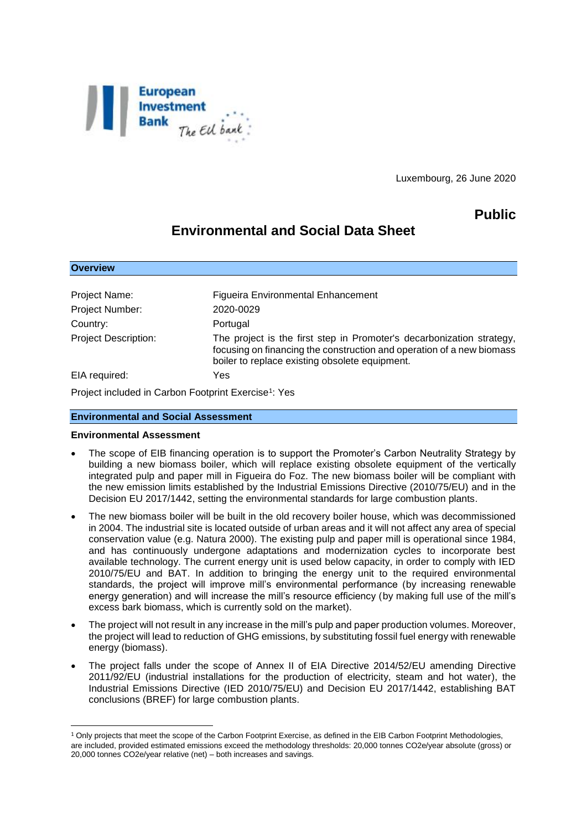

Luxembourg, 26 June 2020

## **Public**

# **Environmental and Social Data Sheet**

| <b>Overview</b>             |                                                                                                                                                                                                  |
|-----------------------------|--------------------------------------------------------------------------------------------------------------------------------------------------------------------------------------------------|
|                             |                                                                                                                                                                                                  |
| Project Name:               | <b>Figueira Environmental Enhancement</b>                                                                                                                                                        |
| Project Number:             | 2020-0029                                                                                                                                                                                        |
| Country:                    | Portugal                                                                                                                                                                                         |
| <b>Project Description:</b> | The project is the first step in Promoter's decarbonization strategy,<br>focusing on financing the construction and operation of a new biomass<br>boiler to replace existing obsolete equipment. |
| EIA required:               | Yes                                                                                                                                                                                              |

Project included in Carbon Footprint Exercise<sup>1</sup>: Yes

## **Environmental and Social Assessment**

#### **Environmental Assessment**

1

- The scope of EIB financing operation is to support the Promoter's Carbon Neutrality Strategy by building a new biomass boiler, which will replace existing obsolete equipment of the vertically integrated pulp and paper mill in Figueira do Foz. The new biomass boiler will be compliant with the new emission limits established by the Industrial Emissions Directive (2010/75/EU) and in the Decision EU 2017/1442, setting the environmental standards for large combustion plants.
- The new biomass boiler will be built in the old recovery boiler house, which was decommissioned in 2004. The industrial site is located outside of urban areas and it will not affect any area of special conservation value (e.g. Natura 2000). The existing pulp and paper mill is operational since 1984, and has continuously undergone adaptations and modernization cycles to incorporate best available technology. The current energy unit is used below capacity, in order to comply with IED 2010/75/EU and BAT. In addition to bringing the energy unit to the required environmental standards, the project will improve mill's environmental performance (by increasing renewable energy generation) and will increase the mill's resource efficiency (by making full use of the mill's excess bark biomass, which is currently sold on the market).
- The project will not result in any increase in the mill's pulp and paper production volumes. Moreover, the project will lead to reduction of GHG emissions, by substituting fossil fuel energy with renewable energy (biomass).
- The project falls under the scope of Annex II of EIA Directive 2014/52/EU amending Directive 2011/92/EU (industrial installations for the production of electricity, steam and hot water), the Industrial Emissions Directive (IED 2010/75/EU) and Decision EU 2017/1442, establishing BAT conclusions (BREF) for large combustion plants.

<sup>&</sup>lt;sup>1</sup> Only projects that meet the scope of the Carbon Footprint Exercise, as defined in the EIB Carbon Footprint Methodologies, are included, provided estimated emissions exceed the methodology thresholds: 20,000 tonnes CO2e/year absolute (gross) or 20,000 tonnes CO2e/year relative (net) – both increases and savings.